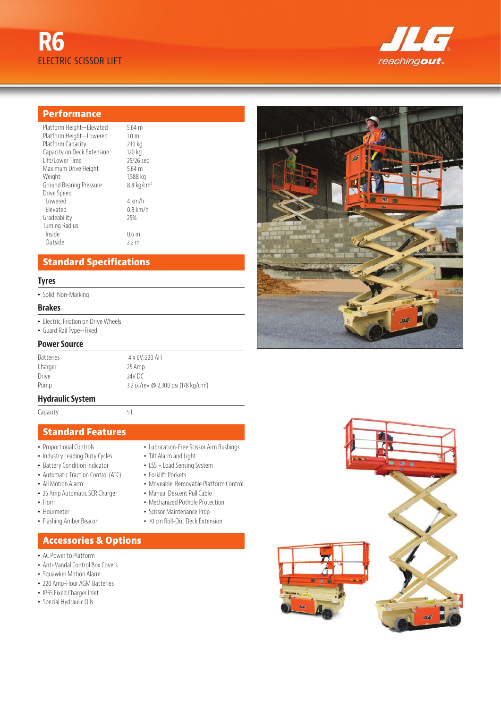



### **Performance**

| Platform Height-Elevated   | $5.64$ m              |
|----------------------------|-----------------------|
| Platform Height-Lowered    | 1.0 <sub>m</sub>      |
| Platform Capacity          | 230 kg                |
| Capacity on Deck Extension | 120 kg                |
| Lift/Lower Time            | 25/26 sec             |
| Maximum Drive Height       | $5.64$ m              |
| Weight                     | 1,588 kg              |
| Ground Bearing Pressure    | $8.4 \text{ kg/cm}^2$ |
| Drive Speed                |                       |
| I owered                   | 4 km/h                |
| Flevated                   | $0.8$ km/h            |
| Gradeability               | 25%                   |
| <b>Turning Radius</b>      |                       |
| Inside                     | 0.6 m                 |
| Outside                    | 2.2 m                 |
|                            |                       |

## **Standard Specifications**

#### **Tyres**

• Solid, Non-Marking

#### **Brakes**

- Electric, Friction on Drive Wheels
- Guard Rail Type--Fixed

#### **Power Source**

| <b>Batteries</b> | 4 x 6V, 220 AH                                   |
|------------------|--------------------------------------------------|
| Charger          | 25 Amp                                           |
| Drive            | 24V DC                                           |
| Pump             | 3.2 cc/rev @ 2,300 psi (178 kg/cm <sup>2</sup> ) |

#### **Hydraulic System**

Capacity 5L

### **Standard Features**

- Proportional Controls
- Industry Leading Duty Cycles
- Battery Condition Indicator
- Automatic Traction Control (ATC)
- All Motion Alarm
- 25 Amp Automatic SCR Charger
- Horn
- Hourmeter
- Flashing Amber Beacon

### **Accessories & Options**

- AC Power to Platform
- Anti-Vandal Control Box Covers
- Squawker Motion Alarm
- 220 Amp-Hour AGM Batteries
- IP65 Fixed Charger Inlet
- Special Hydraulic Oils
- Lubrication-Free Scissor Arm Bushings
- Tilt Alarm and Light
- LSS Load Sensing System
- Forklift Pockets
- Moveable, Removable Platform Control
- Manual Descent Pull Cable
- Mechanized Pothole Protection
- Scissor Maintenance Prop
- 70 cm Roll-Out Deck Extension